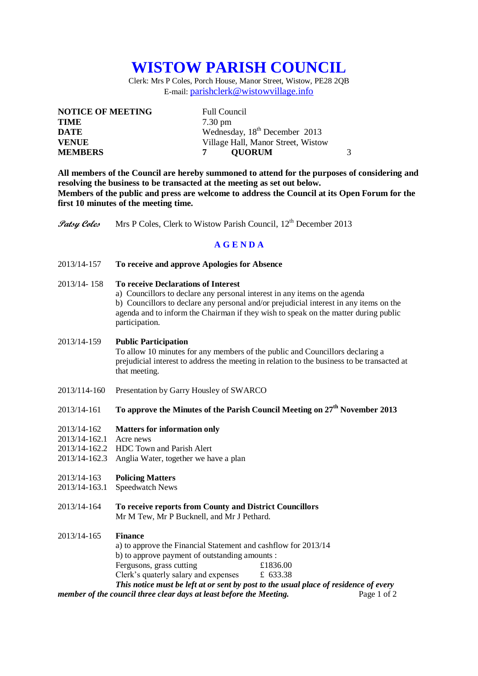# **WISTOW PARISH COUNCIL**

Clerk: Mrs P Coles, Porch House, Manor Street, Wistow, PE28 2QB E-mail: [parishclerk@wistowvillage.info](mailto:parishclerk@wistowvillage.info)

| <b>NOTICE OF MEETING</b> | <b>Full Council</b>                       |   |
|--------------------------|-------------------------------------------|---|
| <b>TIME</b>              | $7.30 \text{ pm}$                         |   |
| <b>DATE</b>              | Wednesday, 18 <sup>th</sup> December 2013 |   |
| <b>VENUE</b>             | Village Hall, Manor Street, Wistow        |   |
| <b>MEMBERS</b>           | <b>OUORUM</b>                             | 3 |

**All members of the Council are hereby summoned to attend for the purposes of considering and resolving the business to be transacted at the meeting as set out below. Members of the public and press are welcome to address the Council at its Open Forum for the first 10 minutes of the meeting time.**

Patsy Coles Mrs P Coles, Clerk to Wistow Parish Council, 12<sup>th</sup> December 2013

#### **A G E N D A**

- 2013/14-157 **To receive and approve Apologies for Absence**
- 2013/14- 158 **To receive Declarations of Interest**

a) Councillors to declare any personal interest in any items on the agenda b) Councillors to declare any personal and/or prejudicial interest in any items on the agenda and to inform the Chairman if they wish to speak on the matter during public participation.

#### 2013/14-159 **Public Participation**

To allow 10 minutes for any members of the public and Councillors declaring a prejudicial interest to address the meeting in relation to the business to be transacted at that meeting.

2013/114-160 Presentation by Garry Housley of SWARCO

## 2013/14-161 **To approve the Minutes of the Parish Council Meeting on 27th November 2013**

- 2013/14-162 **Matters for information only**
- 2013/14-162.1 Acre news
- 2013/14-162.2 HDC Town and Parish Alert
- 2013/14-162.3 Anglia Water, together we have a plan
- 2013/14-163 **Policing Matters**
- 2013/14-163.1 Speedwatch News
- 2013/14-164 **To receive reports from County and District Councillors** Mr M Tew, Mr P Bucknell, and Mr J Pethard.

#### 2013/14-165 **Finance**

| a) to approve the Financial Statement and cashflow for 2013/14 |                                                                                      |
|----------------------------------------------------------------|--------------------------------------------------------------------------------------|
| b) to approve payment of outstanding amounts :                 |                                                                                      |
| Fergusons, grass cutting                                       | £1836.00                                                                             |
| Clerk's quaterly salary and expenses                           | £ 633.38                                                                             |
|                                                                | This notice must be left at or sent by post to the usual place of residence of every |
|                                                                |                                                                                      |

*member of the council three clear days at least before the Meeting.* Page 1 of 2